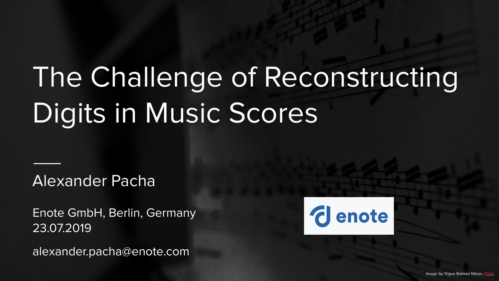# The Challenge of Reconstructing Digits in Music Scores

Alexander Pacha

Enote GmbH, Berlin, Germany 23.07.2019

alexander.pacha@enote.com

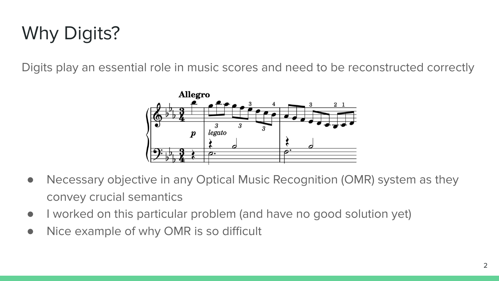## Why Digits?

Digits play an essential role in music scores and need to be reconstructed correctly



- Necessary objective in any Optical Music Recognition (OMR) system as they convey crucial semantics
- I worked on this particular problem (and have no good solution yet)
- Nice example of why OMR is so difficult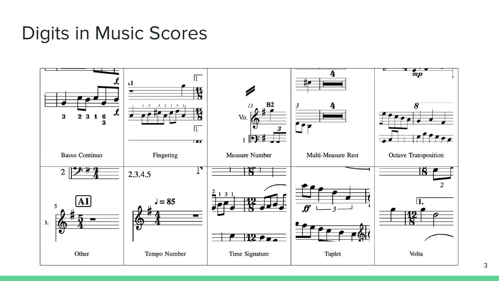### Digits in Music Scores

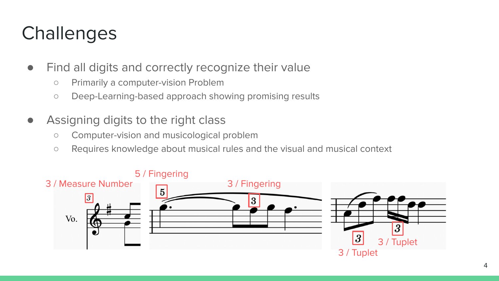### **Challenges**

- Find all digits and correctly recognize their value
	- Primarily a computer-vision Problem
	- Deep-Learning-based approach showing promising results
- Assigning digits to the right class
	- Computer-vision and musicological problem
	- Requires knowledge about musical rules and the visual and musical context

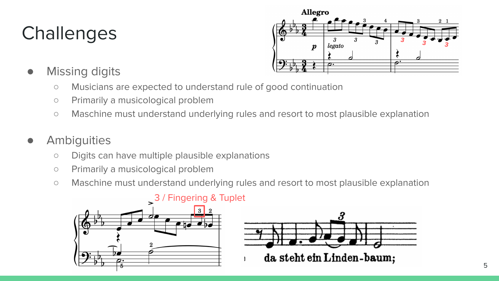## **Challenges**



- Missing digits
	- Musicians are expected to understand rule of good continuation
	- Primarily a musicological problem
	- Maschine must understand underlying rules and resort to most plausible explanation

#### **Ambiguities**

- Digits can have multiple plausible explanations
- Primarily a musicological problem
- Maschine must understand underlying rules and resort to most plausible explanation





#### 3 / Fingering & Tuplet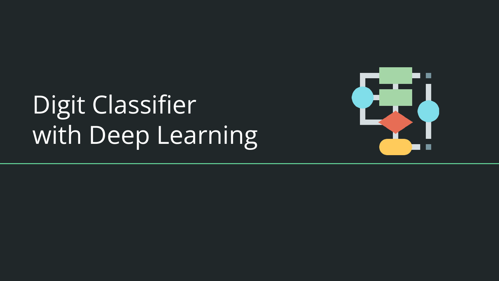# Digit Classifier with Deep Learning

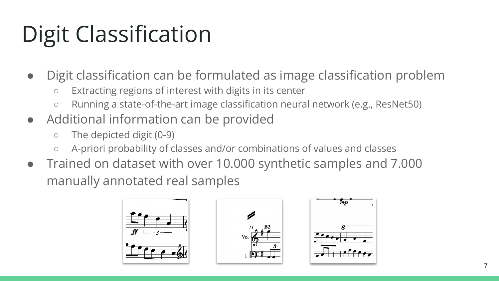## Digit Classification

- Digit classification can be formulated as image classification problem
	- Extracting regions of interest with digits in its center
	- Running a state-of-the-art image classification neural network (e.g., ResNet50)
- Additional information can be provided
	- The depicted digit (0-9)
	- A-priori probability of classes and/or combinations of values and classes
- Trained on dataset with over 10.000 synthetic samples and 7.000 manually annotated real samples





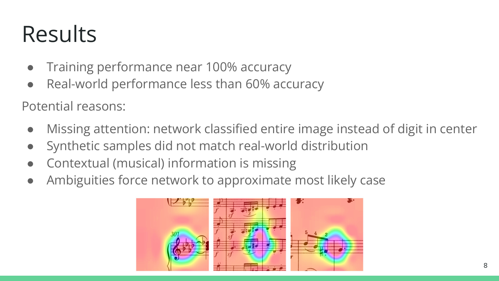## Results

- Training performance near 100% accuracy
- Real-world performance less than 60% accuracy

Potential reasons:

- Missing attention: network classified entire image instead of digit in center
- Synthetic samples did not match real-world distribution
- Contextual (musical) information is missing
- Ambiguities force network to approximate most likely case

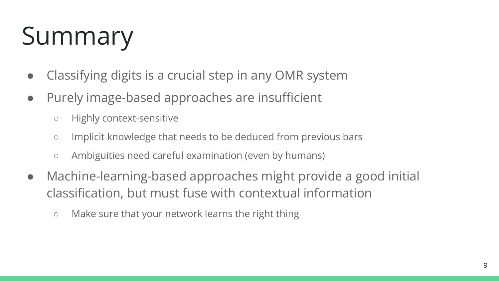# Summary

- Classifying digits is a crucial step in any OMR system
- Purely image-based approaches are insufficient
	- Highly context-sensitive
	- Implicit knowledge that needs to be deduced from previous bars
	- Ambiguities need careful examination (even by humans)
- Machine-learning-based approaches might provide a good initial classification, but must fuse with contextual information
	- Make sure that your network learns the right thing